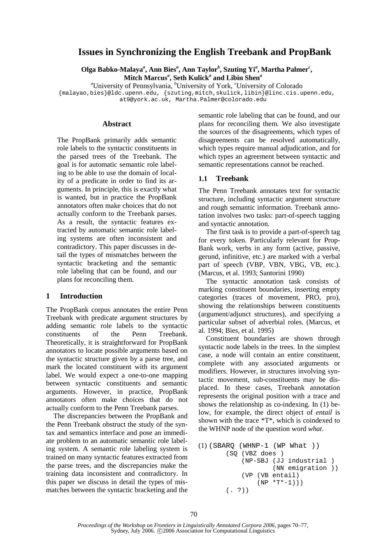# **Issues in Synchronizing the English Treebank and PropBank**

**Olga Babko-Malaya***<sup>a</sup>* **, Ann Bies***<sup>a</sup>* **, Ann Taylor***<sup>b</sup>* **, Szuting Yi***<sup>a</sup>* **, Martha Palmer***<sup>c</sup>* **, Mitch Marcus***<sup>a</sup>* **, Seth Kulick***<sup>a</sup>*  **and Libin Shen***<sup>a</sup>*

*a* University of Pennsylvania, *<sup>b</sup>* University of York, *<sup>c</sup>* University of Colorado

{malayao,bies}@ldc.upenn.edu, {szuting,mitch,skulick,libin}@linc.cis.upenn.edu, at9@york.ac.uk, Martha.Palmer@colorado.edu

#### **Abstract**

The PropBank primarily adds semantic role labels to the syntactic constituents in the parsed trees of the Treebank. The goal is for automatic semantic role labeling to be able to use the domain of locality of a predicate in order to find its arguments. In principle, this is exactly what is wanted, but in practice the PropBank annotators often make choices that do not actually conform to the Treebank parses. As a result, the syntactic features extracted by automatic semantic role labeling systems are often inconsistent and contradictory. This paper discusses in detail the types of mismatches between the syntactic bracketing and the semantic role labeling that can be found, and our plans for reconciling them.

#### **1 Introduction**

The PropBank corpus annotates the entire Penn Treebank with predicate argument structures by adding semantic role labels to the syntactic constituents of the Penn Treebank. Theoretically, it is straightforward for PropBank annotators to locate possible arguments based on the syntactic structure given by a parse tree, and mark the located constituent with its argument label. We would expect a one-to-one mapping between syntactic constituents and semantic arguments. However, in practice, PropBank annotators often make choices that do not actually conform to the Penn Treebank parses.

The discrepancies between the PropBank and the Penn Treebank obstruct the study of the syntax and semantics interface and pose an immediate problem to an automatic semantic role labeling system. A semantic role labeling system is trained on many syntactic features extracted from the parse trees, and the discrepancies make the training data inconsistent and contradictory. In this paper we discuss in detail the types of mismatches between the syntactic bracketing and the

semantic role labeling that can be found, and our plans for reconciling them. We also investigate the sources of the disagreements, which types of disagreements can be resolved automatically, which types require manual adjudication, and for which types an agreement between syntactic and semantic representations cannot be reached.

#### **1.1 Treebank**

The Penn Treebank annotates text for syntactic structure, including syntactic argument structure and rough semantic information. Treebank annotation involves two tasks: part-of-speech tagging and syntactic annotation.

The first task is to provide a part-of-speech tag for every token. Particularly relevant for Prop-Bank work, verbs in any form (active, passive, gerund, infinitive, etc.) are marked with a verbal part of speech (VBP, VBN, VBG, VB, etc.). (Marcus, et al. 1993; Santorini 1990)

The syntactic annotation task consists of marking constituent boundaries, inserting empty categories (traces of movement, PRO, pro), showing the relationships between constituents (argument/adjunct structures), and specifying a particular subset of adverbial roles. (Marcus, et al. 1994; Bies, et al. 1995)

Constituent boundaries are shown through syntactic node labels in the trees. In the simplest case, a node will contain an entire constituent, complete with any associated arguments or modifiers. However, in structures involving syntactic movement, sub-constituents may be displaced. In these cases, Treebank annotation represents the original position with a trace and shows the relationship as co-indexing. In (1) below, for example, the direct object of *entail* is shown with the trace \*T\*, which is coindexed to the WHNP node of the question word *what*.

```
(1) (SBARQ (WHNP-1 (WP What ))
       (SQ (VBZ does )
           (NP-SBJ (JJ industrial )
                    (NN emigration ))
           (VP (VB entail)
                (NP * T * - 1))(7, 2)
```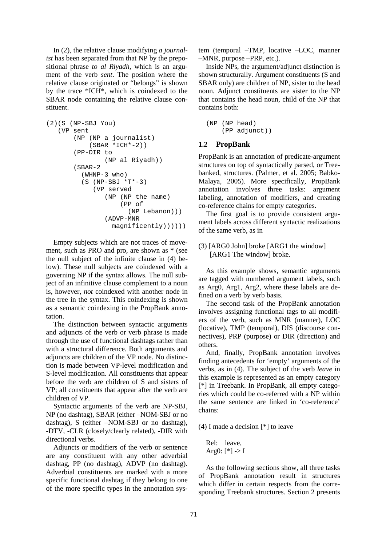In (2), the relative clause modifying *a journalist* has been separated from that NP by the prepositional phrase *to al Riyadh*, which is an argument of the verb *sent*. The position where the relative clause originated or "belongs" is shown by the trace \*ICH\*, which is coindexed to the SBAR node containing the relative clause constituent.

```
(2)(S (NP-SBJ You) 
   (VP sent
       (NP (NP a journalist)
           (SBAR *ICH*-2))(PP-DIR to
                (NP al Riyadh))
       (SBAR-2
         (WHNP-3 who)
         (S (NP-SBJ *T*-3))(VP served
               (NP (NP the name)
                    (PP of
                      (NP Lebanon)))
                (ADVP-MNR
                 magnificently))))))
```
Empty subjects which are not traces of movement, such as PRO and pro, are shown as \* (see the null subject of the infinite clause in (4) below). These null subjects are coindexed with a governing NP if the syntax allows. The null subject of an infinitive clause complement to a noun is, however, *not* coindexed with another node in the tree in the syntax. This coindexing is shown as a semantic coindexing in the PropBank annotation.

The distinction between syntactic arguments and adjuncts of the verb or verb phrase is made through the use of functional dashtags rather than with a structural difference. Both arguments and adjuncts are children of the VP node. No distinction is made between VP-level modification and S-level modification. All constituents that appear before the verb are children of S and sisters of VP; all constituents that appear after the verb are children of VP.

Syntactic arguments of the verb are NP-SBJ, NP (no dashtag), SBAR (either –NOM-SBJ or no dashtag), S (either –NOM-SBJ or no dashtag), -DTV, -CLR (closely/clearly related), -DIR with directional verbs.

Adjuncts or modifiers of the verb or sentence are any constituent with any other adverbial dashtag, PP (no dashtag), ADVP (no dashtag). Adverbial constituents are marked with a more specific functional dashtag if they belong to one of the more specific types in the annotation system (temporal –TMP, locative –LOC, manner –MNR, purpose –PRP, etc.).

Inside NPs, the argument/adjunct distinction is shown structurally. Argument constituents (S and SBAR only) are children of NP, sister to the head noun. Adjunct constituents are sister to the NP that contains the head noun, child of the NP that contains both:

```
(NP (NP head)
    (PP adjunct))
```
### **1.2 PropBank**

PropBank is an annotation of predicate-argument structures on top of syntactically parsed, or Treebanked, structures. (Palmer, et al. 2005; Babko-Malaya, 2005). More specifically, PropBank annotation involves three tasks: argument labeling, annotation of modifiers, and creating co-reference chains for empty categories.

The first goal is to provide consistent argument labels across different syntactic realizations of the same verb, as in

### (3) [ARG0 John] broke [ARG1 the window] [ARG1 The window] broke.

As this example shows, semantic arguments are tagged with numbered argument labels, such as Arg0, Arg1, Arg2, where these labels are defined on a verb by verb basis.

The second task of the PropBank annotation involves assigning functional tags to all modifiers of the verb, such as MNR (manner), LOC (locative), TMP (temporal), DIS (discourse connectives), PRP (purpose) or DIR (direction) and others.

And, finally, PropBank annotation involves finding antecedents for 'empty' arguments of the verbs, as in (4). The subject of the verb *leave* in this example is represented as an empty category [\*] in Treebank. In PropBank, all empty categories which could be co-referred with a NP within the same sentence are linked in 'co-reference' chains:

(4) I made a decision [\*] to leave

Rel: leave, Arg $0:$  [ $^*$ ] -> I

As the following sections show, all three tasks of PropBank annotation result in structures which differ in certain respects from the corresponding Treebank structures. Section 2 presents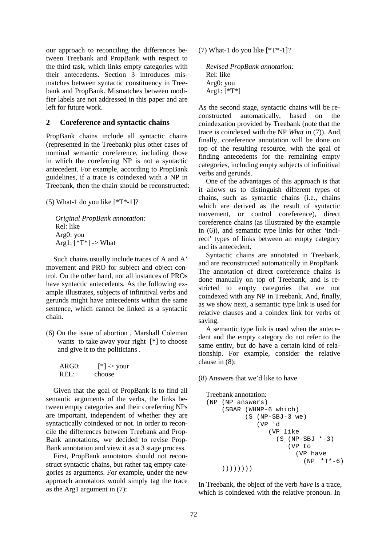our approach to reconciling the differences between Treebank and PropBank with respect to the third task, which links empty categories with their antecedents. Section 3 introduces mismatches between syntactic constituency in Treebank and PropBank. Mismatches between modifier labels are not addressed in this paper and are left for future work.

### **2 Coreference and syntactic chains**

PropBank chains include all syntactic chains (represented in the Treebank) plus other cases of nominal semantic coreference, including those in which the coreferring NP is not a syntactic antecedent. For example, according to PropBank guidelines, if a trace is coindexed with a NP in Treebank, then the chain should be reconstructed:

(5) What-1 do you like  $[*T*-1]$ ?

*Original PropBank annotation:*  Rel: like Arg0: you Arg1:  $[*T*]$  -> What

Such chains usually include traces of A and A' movement and PRO for subject and object control. On the other hand, not all instances of PROs have syntactic antecedents. As the following example illustrates, subjects of infinitival verbs and gerunds might have antecedents within the same sentence, which cannot be linked as a syntactic chain.

(6) On the issue of abortion , Marshall Coleman wants to take away your right [\*] to choose and give it to the politicians .

| ARG0: | $\lceil^* \rceil$ -> your |
|-------|---------------------------|
| REL:  | choose                    |

Given that the goal of PropBank is to find all semantic arguments of the verbs, the links between empty categories and their coreferring NPs are important, independent of whether they are syntactically coindexed or not. In order to reconcile the differences between Treebank and Prop-Bank annotations, we decided to revise Prop-Bank annotation and view it as a 3 stage process.

First, PropBank annotators should not reconstruct syntactic chains, but rather tag empty categories as arguments. For example, under the new approach annotators would simply tag the trace as the Arg1 argument in (7):

(7) What-1 do you like [\*T\*-1]?

```
Revised PropBank annotation: 
Rel: like 
Arg0: you 
Arg1: [*T*]
```
As the second stage, syntactic chains will be reconstructed automatically, based on the coindexation provided by Treebank (note that the trace is coindexed with the NP *What* in (7)). And, finally, coreference annotation will be done on top of the resulting resource, with the goal of finding antecedents for the remaining empty categories, including empty subjects of infinitival verbs and gerunds.

One of the advantages of this approach is that it allows us to distinguish different types of chains, such as syntactic chains (i.e., chains which are derived as the result of syntactic movement, or control coreference), direct coreference chains (as illustrated by the example in (6)), and semantic type links for other 'indirect' types of links between an empty category and its antecedent.

Syntactic chains are annotated in Treebank, and are reconstructed automatically in PropBank. The annotation of direct coreference chains is done manually on top of Treebank, and is restricted to empty categories that are not coindexed with any NP in Treebank. And, finally, as we show next, a semantic type link is used for relative clauses and a coindex link for verbs of saying.

A semantic type link is used when the antecedent and the empty category do not refer to the same entity, but do have a certain kind of relationship. For example, consider the relative clause in (8):

(8) Answers that we'd like to have

```
Treebank annotation: 
(NP (NP answers)
    (SBAR (WHNP-6 which)
           (S (NP-SBJ-3 we)
              (VP 'd
                  (VP like
                    (S (NP-SBJ *-3))(VP to
                          (VP have
                            (NP * T * - 6)))))))))
```
In Treebank, the object of the verb *have* is a trace, which is coindexed with the relative pronoun. In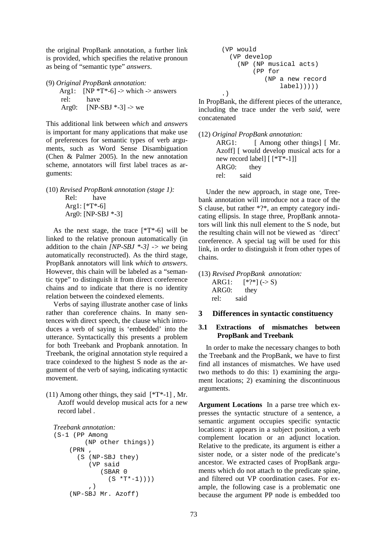the original PropBank annotation, a further link is provided, which specifies the relative pronoun as being of "semantic type" *answers*.

(9) *Original PropBank annotation:*

Arg1:  $[NP *T* -6]$  -> which -> answers rel: have Arg0:  $[NP-SBJ * -3]$  -> we

This additional link between *which* and *answer*s is important for many applications that make use of preferences for semantic types of verb arguments, such as Word Sense Disambiguation (Chen & Palmer 2005). In the new annotation scheme, annotators will first label traces as arguments:

(10) *Revised PropBank annotation (stage 1):* Rel: have Arg1: [\*T\*-6] Arg0: [NP-SBJ \*-3]

As the next stage, the trace  $[{}^*T^*$ -6] will be linked to the relative pronoun automatically (in addition to the chain *[NP-SBJ \*-3] -> we* being automatically reconstructed). As the third stage, PropBank annotators will link *which* to *answers*. However, this chain will be labeled as a "semantic type" to distinguish it from direct coreference chains and to indicate that there is no identity relation between the coindexed elements.

Verbs of saying illustrate another case of links rather than coreference chains. In many sentences with direct speech, the clause which introduces a verb of saying is 'embedded' into the utterance. Syntactically this presents a problem for both Treebank and Propbank annotation. In Treebank, the original annotation style required a trace coindexed to the highest S node as the argument of the verb of saying, indicating syntactic movement.

(11) Among other things, they said  $[^{*}T^{*}-1]$ . Mr. Azoff would develop musical acts for a new record label *.*

```
Treebank annotation:
```

```
(S-1 (PP Among
        (NP other things))
    (PRN
      (S (NP-SBJ they)
         (VP said
             (SBAR 0
               (S * T * - 1)))
         ,)
    (NP-SBJ Mr. Azoff)
```
(VP would (VP develop (NP (NP musical acts) (PP for (NP a new record label))))) .)

In PropBank, the different pieces of the utterance, including the trace under the verb *said*, were concatenated

(12) *Original PropBank annotation:* ARG1: [ Among other things] [ Mr. Azoff] [ would develop musical acts for a new record label] [ [\*T\*-1]] ARG0: they rel: said

Under the new approach, in stage one, Treebank annotation will introduce not a trace of the S clause, but rather \*?\*, an empty category indicating ellipsis. In stage three, PropBank annotators will link this null element to the S node, but the resulting chain will not be viewed as 'direct' coreference. A special tag will be used for this link, in order to distinguish it from other types of chains.

(13) *Revised PropBank annotation:* ARG1:  $[ * ? * ] (\rightarrow S)$ ARG0: they rel: said

## **3 Differences in syntactic constituency**

### **3.1 Extractions of mismatches between PropBank and Treebank**

In order to make the necessary changes to both the Treebank and the PropBank, we have to first find all instances of mismatches. We have used two methods to do this: 1) examining the argument locations; 2) examining the discontinuous arguments.

**Argument Locations** In a parse tree which expresses the syntactic structure of a sentence, a semantic argument occupies specific syntactic locations: it appears in a subject position, a verb complement location or an adjunct location. Relative to the predicate, its argument is either a sister node, or a sister node of the predicate's ancestor. We extracted cases of PropBank arguments which do not attach to the predicate spine, and filtered out VP coordination cases. For example, the following case is a problematic one because the argument PP node is embedded too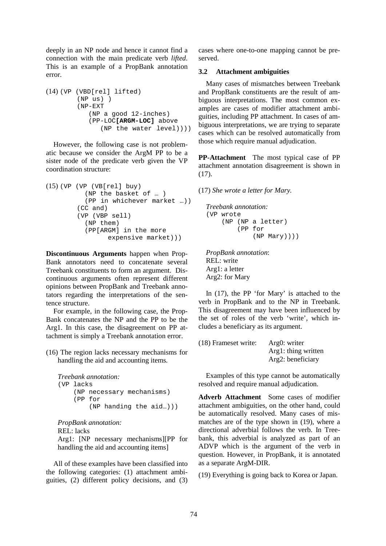deeply in an NP node and hence it cannot find a connection with the main predicate verb *lifted*. This is an example of a PropBank annotation error.

```
(14) (VP (VBD[rel] lifted)
        (NP us) )
        (NP-EXT
           (NP a good 12-inches)
           (PP-LOC[ARGM-LOC] above
               (NP the water level))))
```
However, the following case is not problematic because we consider the ArgM PP to be a sister node of the predicate verb given the VP coordination structure:

```
(15) (VP (VP (VB[rel] buy)
          (NP the basket of … )
          (PP in whichever market …))
        (CC and)
        (VP (VBP sell)
          (NP them)
          (PP[ARGM] in the more
                expensive market)))
```
**Discontinuous Arguments** happen when Prop-Bank annotators need to concatenate several Treebank constituents to form an argument. Discontinuous arguments often represent different opinions between PropBank and Treebank annotators regarding the interpretations of the sentence structure.

For example, in the following case, the Prop-Bank concatenates the NP and the PP to be the Arg1. In this case, the disagreement on PP attachment is simply a Treebank annotation error.

(16) The region lacks necessary mechanisms for handling the aid and accounting items*.* 

*Treebank annotation:*  (VP lacks (NP necessary mechanisms) (PP for (NP handing the aid…)))

*PropBank annotation:*  REL: lacks Arg1: [NP necessary mechanisms][PP for handling the aid and accounting items]

All of these examples have been classified into the following categories: (1) attachment ambiguities, (2) different policy decisions, and (3) cases where one-to-one mapping cannot be preserved.

### **3.2 Attachment ambiguities**

Many cases of mismatches between Treebank and PropBank constituents are the result of ambiguous interpretations. The most common examples are cases of modifier attachment ambiguities, including PP attachment. In cases of ambiguous interpretations, we are trying to separate cases which can be resolved automatically from those which require manual adjudication.

**PP-Attachment** The most typical case of PP attachment annotation disagreement is shown in (17).

#### (17) *She wrote a letter for Mary.*

```
Treebank annotation: 
(VP wrote
    (NP (NP a letter)
         (PP for
              (NP Mary))))
```
*PropBank annotation*: REL: write Arg1: a letter Arg2: for Mary

In (17), the PP 'for Mary' is attached to the verb in PropBank and to the NP in Treebank. This disagreement may have been influenced by the set of roles of the verb 'write', which includes a beneficiary as its argument.

| (18) Frameset write: | Arg0: writer        |
|----------------------|---------------------|
|                      | Arg1: thing written |
|                      | Arg2: beneficiary   |

Examples of this type cannot be automatically resolved and require manual adjudication.

**Adverb Attachment** Some cases of modifier attachment ambiguities, on the other hand, could be automatically resolved. Many cases of mismatches are of the type shown in (19), where a directional adverbial follows the verb. In Treebank, this adverbial is analyzed as part of an ADVP which is the argument of the verb in question. However, in PropBank, it is annotated as a separate ArgM-DIR.

(19) Everything is going back to Korea or Japan.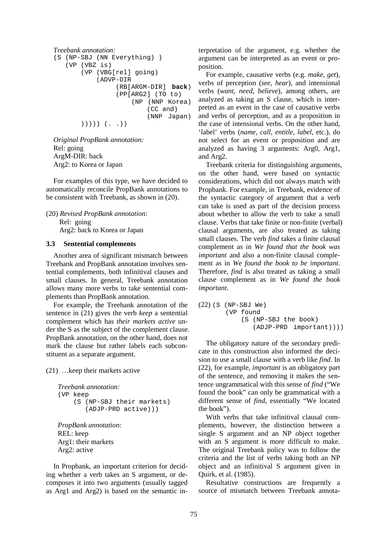```
Treebank annotation: 
(S (NP-SBJ (NN Everything) )
   (VP (VBZ is)
       (VP (VBG[rel] going)
            (ADVP-DIR
                 (RB[ARGM-DIR] back)
                 (PP[ARG2] (TO to)
                     (NP (NNP Korea)
                          (CC and)
                          (NNP Japan)
       ))))) (. .))
```
*Original PropBank annotation:*  Rel: going ArgM-DIR: back Arg2: to Korea or Japan

For examples of this type, we have decided to automatically reconcile PropBank annotations to be consistent with Treebank, as shown in (20).

(20) *Revised PropBank annotation:* Rel: going Arg2: back to Korea or Japan

#### **3.3 Sentential complements**

Another area of significant mismatch between Treebank and PropBank annotation involves sentential complements, both infinitival clauses and small clauses. In general, Treebank annotation allows many more verbs to take sentential complements than PropBank annotation.

For example, the Treebank annotation of the sentence in (21) gives the verb *keep* a sentential complement which has *their markets active* under the S as the subject of the complement clause. PropBank annotation, on the other hand, does not mark the clause but rather labels each subconstituent as a separate argument.

(21) …keep their markets active

```
Treebank annotation: 
(VP keep
    (S (NP-SBJ their markets)
       (ADJP-PRD active)))
```
*PropBank annotation:*  REL: keep Arg1: their markets Arg2: active

In Propbank, an important criterion for deciding whether a verb takes an S argument, or decomposes it into two arguments (usually tagged as Arg1 and Arg2) is based on the semantic interpretation of the argument, e.g. whether the argument can be interpreted as an event or proposition.

For example, causative verbs (e.g. *make, get*), verbs of perception (*see, hear*), and intensional verbs (*want, need, believe*), among others, are analyzed as taking an S clause, which is interpreted as an event in the case of causative verbs and verbs of perception, and as a proposition in the case of intensional verbs. On the other hand, 'label' verbs (*name, call, entitle, label*, etc.), do not select for an event or proposition and are analyzed as having 3 arguments: Arg0, Arg1, and Arg2.

Treebank criteria for distinguishing arguments, on the other hand, were based on syntactic considerations, which did not always match with Propbank. For example, in Treebank, evidence of the syntactic category of argument that a verb can take is used as part of the decision process about whether to allow the verb to take a small clause. Verbs that take finite or non-finite (verbal) clausal arguments, are also treated as taking small clauses. The verb *find* takes a finite clausal complement as in *We found that the book was important* and also a non-finite clausal complement as in *We found the book to be important*. Therefore, *find* is also treated as taking a small clause complement as in *We found the book important*.

```
(22) (S (NP-SBJ We)
       (VP found
           (S (NP-SBJ the book)
               (ADJP-PRD important))))
```
The obligatory nature of the secondary predicate in this construction also informed the decision to use a small clause with a verb like *find*. In (22), for example, *important* is an obligatory part of the sentence, and removing it makes the sentence ungrammatical with this sense of *find* ("We found the book" can only be grammatical with a different sense of *find*, essentially "We located the book").

With verbs that take infinitival clausal complements, however, the distinction between a single S argument and an NP object together with an S argument is more difficult to make. The original Treebank policy was to follow the criteria and the list of verbs taking both an NP object and an infinitival S argument given in Quirk, et al. (1985).

Resultative constructions are frequently a source of mismatch between Treebank annota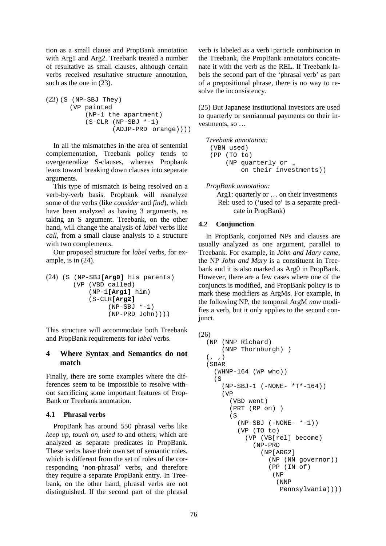tion as a small clause and PropBank annotation with Arg1 and Arg2. Treebank treated a number of resultative as small clauses, although certain verbs received resultative structure annotation, such as the one in (23).

```
(23) (S (NP-SBJ They)
      (VP painted
          (NP-1 the apartment)
          (S-CLR (NP-SBJ *-1))(ADJP-PRD orange))))
```
In all the mismatches in the area of sentential complementation, Treebank policy tends to overgeneralize S-clauses, whereas Propbank leans toward breaking down clauses into separate arguments.

This type of mismatch is being resolved on a verb-by-verb basis. Propbank will reanalyze some of the verbs (like *consider* and *find*), which have been analyzed as having 3 arguments, as taking an S argument. Treebank, on the other hand, will change the analysis of *label* verbs like *call*, from a small clause analysis to a structure with two complements.

Our proposed structure for *label* verbs, for example, is in (24).

```
(24) (S (NP-SBJ[Arg0] his parents)
       (VP (VBD called)
           (NP-1[Arg1] him)
           (S-CLR[Arg2]
                (NP-SBJ *-1)(NP-PRD John))))
```
This structure will accommodate both Treebank and PropBank requirements for *label* verbs.

## **4 Where Syntax and Semantics do not match**

Finally, there are some examples where the differences seem to be impossible to resolve without sacrificing some important features of Prop-Bank or Treebank annotation.

## **4.1 Phrasal verbs**

PropBank has around 550 phrasal verbs like *keep up*, *touch on*, *used to* and others, which are analyzed as separate predicates in PropBank. These verbs have their own set of semantic roles, which is different from the set of roles of the corresponding 'non-phrasal' verbs, and therefore they require a separate PropBank entry. In Treebank, on the other hand, phrasal verbs are not distinguished. If the second part of the phrasal

verb is labeled as a verb+particle combination in the Treebank, the PropBank annotators concatenate it with the verb as the REL. If Treebank labels the second part of the 'phrasal verb' as part of a prepositional phrase, there is no way to resolve the inconsistency.

(25) But Japanese institutional investors are used to quarterly or semiannual payments on their investments, so …

```
Treebank annotation: 
 (VBN used)
 (PP (TO to)
     (NP quarterly or …
          on their investments))
```
*PropBank annotation:* 

Arg1: quarterly or ... on their investments Rel: used to ('used to' is a separate predicate in PropBank)

## **4.2 Conjunction**

In PropBank, conjoined NPs and clauses are usually analyzed as one argument, parallel to Treebank. For example, in *John and Mary came*, the NP *John and Mary* is a constituent in Treebank and it is also marked as Arg0 in PropBank. However, there are a few cases where one of the conjuncts is modified, and PropBank policy is to mark these modifiers as ArgMs. For example, in the following NP, the temporal ArgM *now* modifies a verb, but it only applies to the second conjunct.

```
(26)
```

```
(NP (NNP Richard)
   (NNP Thornburgh) )
(, ,)
(SBAR
  (WHNP-164 (WP who))
  (S
    (NP-SBJ-1 (-NONE- *T*-164))
    (VP
      (VBD went)
      (PRT (RP on) )
      (S)(NP-SBJ (-NONE- *-1))(VP (TO to)
          (VP (VB[rel] become)
            (NP-PRD
              (NP[ARG2]
                 (NP (NN governor))
                 (PP (IN of)
                  (NP
                   (NNP
                    Pennsylvania))))
```